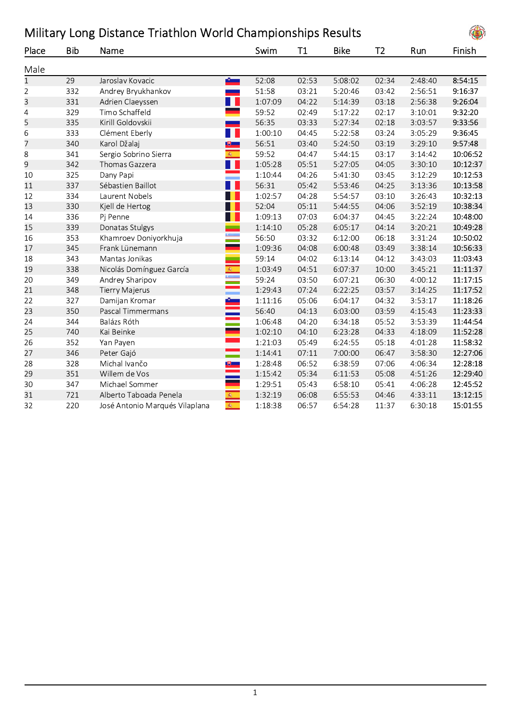| Military Long Distance Triathlon World Championships Results |     |                          |                                            |       |             |                |         |          |  |
|--------------------------------------------------------------|-----|--------------------------|--------------------------------------------|-------|-------------|----------------|---------|----------|--|
| Place                                                        | Bib | Name                     | Swim                                       | Τ1    | <b>Bike</b> | T <sub>2</sub> | Run     | Finish   |  |
| Male                                                         |     |                          |                                            |       |             |                |         |          |  |
| $\mathbf{1}$                                                 | 29  | Jaroslav Kovacic         | 52:08<br>$\mathbf{B}$                      | 02:53 | 5:08:02     | 02:34          | 2:48:40 | 8:54:15  |  |
| $\overline{2}$                                               | 332 | Andrey Bryukhankov       | 51:58<br><b>START</b>                      | 03:21 | 5:20:46     | 03:42          | 2:56:51 | 9:16:37  |  |
| 3                                                            | 331 | Adrien Claeyssen         | a p<br>1:07:09                             | 04:22 | 5:14:39     | 03:18          | 2:56:38 | 9:26:04  |  |
| $\overline{4}$                                               | 329 | Timo Schaffeld           | 59:52                                      | 02:49 | 5:17:22     | 02:17          | 3:10:01 | 9:32:20  |  |
| 5                                                            | 335 | Kirill Goldovskii        | 56:35<br>سند                               | 03:33 | 5:27:34     | 02:18          | 3:03:57 | 9:33:56  |  |
| 6                                                            | 333 | Clément Eberly           | T I<br>1:00:10                             | 04:45 | 5:22:58     | 03:24          | 3:05:29 | 9:36:45  |  |
| $\overline{7}$                                               | 340 | Karol Džalaj             | 56:51<br>$\mathbb{U}$ .                    | 03:40 | 5:24:50     | 03:19          | 3:29:10 | 9:57:48  |  |
| 8                                                            | 341 | Sergio Sobrino Sierra    | 廊<br>59:52                                 | 04:47 | 5:44:15     | 03:17          | 3:14:42 | 10:06:52 |  |
| 9                                                            | 342 | Thomas Gazzera           | H<br>1:05:28                               | 05:51 | 5:27:05     | 04:05          | 3:30:10 | 10:12:37 |  |
| 10                                                           | 325 | Dany Papi                | 1:10:44                                    | 04:26 | 5:41:30     | 03:45          | 3:12:29 | 10:12:53 |  |
| 11                                                           | 337 | Sébastien Baillot        | H<br>56:31                                 | 05:42 | 5:53:46     | 04:25          | 3:13:36 | 10:13:58 |  |
| 12                                                           | 334 | Laurent Nobels           | 1:02:57                                    | 04:28 | 5:54:57     | 03:10          | 3:26:43 | 10:32:13 |  |
| 13                                                           | 330 | Kjell de Hertog          | 52:04                                      | 05:11 | 5:44:55     | 04:06          | 3:52:19 | 10:38:34 |  |
| 14                                                           | 336 | Pj Penne                 | H<br>1:09:13                               | 07:03 | 6:04:37     | 04:45          | 3:22:24 | 10:48:00 |  |
| 15                                                           | 339 | Donatas Stulgys          | 1:14:10                                    | 05:28 | 6:05:17     | 04:14          | 3:20:21 | 10:49:28 |  |
| 16                                                           | 353 | Khamroev Doniyorkhuja    | $\frac{C_{\text{eff}}}{\sqrt{2}}$<br>56:50 | 03:32 | 6:12:00     | 06:18          | 3:31:24 | 10:50:02 |  |
| 17                                                           | 345 | Frank Lünemann           | .<br>محمد<br>1:09:36                       | 04:08 | 6:00:48     | 03:49          | 3:38:14 | 10:56:33 |  |
| 18                                                           | 343 | Mantas Jonikas           | Ξ<br>59:14                                 | 04:02 | 6:13:14     | 04:12          | 3:43:03 | 11:03:43 |  |
| 19                                                           | 338 | Nicolás Domínguez García | 1:03:49                                    | 04:51 | 6:07:37     | 10:00          | 3:45:21 | 11:11:37 |  |
| 20                                                           | 349 | Andrey Sharipov          | <b>R</b><br>59:24                          | 03:50 | 6:07:21     | 06:30          | 4:00:12 | 11:17:15 |  |
| 21                                                           | 348 | <b>Tierry Majerus</b>    | $\mathbb{R}^2$<br>1:29:43                  | 07:24 | 6:22:25     | 03:57          | 3:14:25 | 11:17:52 |  |
| 22                                                           | 327 | Damijan Kromar           | i <sup>c</sup><br>Elizabeth<br>1:11:16     | 05:06 | 6:04:17     | 04:32          | 3:53:17 | 11:18:26 |  |
| 23                                                           | 350 | Pascal Timmermans        | 56:40                                      | 04:13 | 6:03:00     | 03:59          | 4:15:43 | 11:23:33 |  |
| 24                                                           | 344 | Balázs Róth              | 1:06:48                                    | 04:20 | 6:34:18     | 05:52          | 3:53:39 | 11:44:54 |  |
| 25                                                           | 740 | Kai Beinke               | 1:02:10                                    | 04:10 | 6:23:28     | 04:33          | 4:18:09 | 11:52:28 |  |
| 26                                                           | 352 | Yan Payen                | 1:21:03                                    | 05:49 | 6:24:55     | 05:18          | 4:01:28 | 11:58:32 |  |
| 27                                                           | 346 | Peter Gajó               | Ξ<br>1:14:41                               | 07:11 | 7:00:00     | 06:47          | 3:58:30 | 12:27:06 |  |
| 28                                                           | 328 | Michal Ivančo            | 1:28:48<br>$\mathbf{E}$                    | 06:52 | 6:38:59     | 07:06          | 4:06:34 | 12:28:18 |  |
| 29                                                           | 351 | Willem de Vos            | 1:15:42                                    | 05:34 | 6:11:53     | 05:08          | 4:51:26 | 12:29:40 |  |
| 30                                                           | 347 | Michael Sommer           | 1:29:51                                    | 05:43 | 6:58:10     | 05:41          | 4:06:28 | 12:45:52 |  |
| 31                                                           | 721 | Alberto Taboada Penela   | $\mathbf{\hat{w}}$<br>1:32:19              | 06:08 | 6:55:53     | 04:46          | 4:33:11 | 13:12:15 |  |

32 220 José Antonio Marqués Vilaplana <del>1€</del> 1:18:38 06:57 6:54:28 11:37 6:30:18 15:01:55